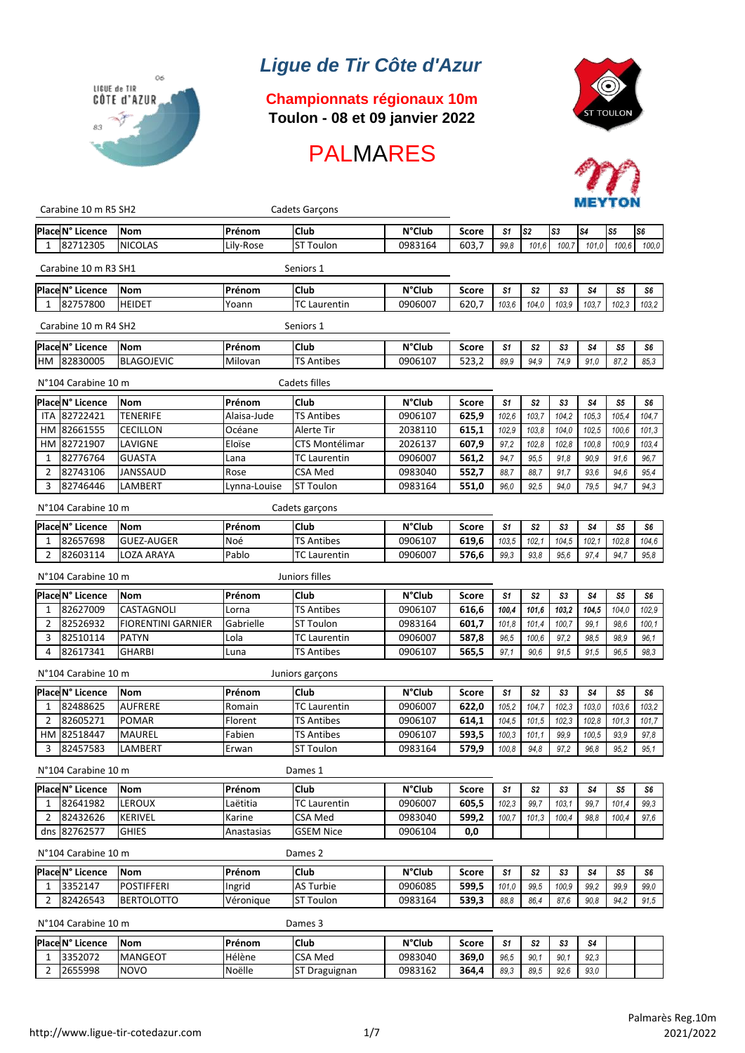# *Ligue de Tir Côte d'Azur*



### **Championnats régionaux 10m Toulon - 08 et 09 janvier 2022**







| Carabine 10 m R5 SH2       |                           | Cadets Garçons |                       |                  |              |                |                | METIUN         |                |                |                |
|----------------------------|---------------------------|----------------|-----------------------|------------------|--------------|----------------|----------------|----------------|----------------|----------------|----------------|
| Place N° Licence           | Nom                       | Prénom         | Club                  | <b>N°Club</b>    | <b>Score</b> | S <sub>1</sub> | S <sub>2</sub> | S3             | S4             | S5             | S <sub>6</sub> |
| 82712305<br>1              | <b>NICOLAS</b>            | Lily-Rose      | <b>ST Toulon</b>      | 0983164          | 603,7        | 99.8           | 101.6          | 100,7          | 101.0          | 100.6          | 100,0          |
| Carabine 10 m R3 SH1       |                           |                | Seniors 1             |                  |              |                |                |                |                |                |                |
| Place N° Licence           | Nom                       | Prénom         | Club                  | <b>N°Club</b>    | <b>Score</b> | S <sub>1</sub> | S <sub>2</sub> | S3             | S4             | S <sub>5</sub> | S6             |
| 82757800<br>1              | <b>HEIDET</b>             | Yoann          | <b>TC Laurentin</b>   | 0906007          | 620,7        | 103,6          | 104.0          | 103,9          | 103.7          | 102.3          | 103,2          |
| Carabine 10 m R4 SH2       |                           |                | Seniors 1             |                  |              |                |                |                |                |                |                |
| Place N° Licence           | <b>Nom</b>                | Prénom         | Club                  | <b>N°Club</b>    | <b>Score</b> | S <sub>1</sub> | S2             | S3             | S4             | S5             | S6             |
| 82830005<br>нм             | <b>BLAGOJEVIC</b>         | Milovan        | <b>TS Antibes</b>     | 0906107          | 523,2        | 89.9           | 94.9           | 74,9           | 91.0           | 87,2           | 85,3           |
| N°104 Carabine 10 m        |                           |                | Cadets filles         |                  |              |                |                |                |                |                |                |
| Place N° Licence           | Nom                       | Prénom         | Club                  | <b>N°Club</b>    | <b>Score</b> | S <sub>1</sub> | S <sub>2</sub> | S3             | S4             | S <sub>5</sub> | S6             |
| 82722421<br><b>ITA</b>     | <b>TENERIFE</b>           | Alaisa-Jude    | <b>TS Antibes</b>     | 0906107          | 625,9        | 102,6          | 103,7          | 104,2          | 105,3          | 105,4          | 104,7          |
| 82661555<br>НM             | <b>CECILLON</b>           | Océane         | Alerte Tir            | 2038110          | 615,1        | 102,9          | 103,8          | 104,0          | 102,5          | 100,6          | 101,3          |
| 82721907<br>HМ             | LAVIGNE                   | Eloïse         | <b>CTS Montélimar</b> | 2026137          | 607,9        | 97,2           | 102,8          | 102,8          | 100,8          | 100,9          | 103,4          |
| 82776764<br>1              | GUASTA                    | Lana           | <b>TC Laurentin</b>   | 0906007          | 561,2        | 94,7           | 95,5           | 91,8           | 90,9           | 91,6           | 96.7           |
| 82743106<br>2              | JANSSAUD                  | Rose           | <b>CSA Med</b>        | 0983040          | 552,7        | 88,7           | 88,7           | 91,7           | 93,6           | 94,6           | 95.4           |
| 82746446<br>3              | LAMBERT                   | Lynna-Louise   | <b>ST Toulon</b>      | 0983164          | 551,0        | 96,0           | 92,5           | 94,0           | 79,5           | 94,7           | 94,3           |
| N°104 Carabine 10 m        |                           |                | Cadets garçons        |                  |              |                |                |                |                |                |                |
| Place N° Licence           | <b>Nom</b>                | Prénom         | Club                  | <b>N°Club</b>    | <b>Score</b> | S <sub>1</sub> | S <sub>2</sub> | S3             | S4             | S5             | S6             |
| 82657698<br>1              | <b>GUEZ-AUGER</b>         | Noé            | <b>TS Antibes</b>     | 0906107          | 619,6        | 103,5          | 102,1          | 104,5          | 102,1          | 102,8          | 104,6          |
| 82603114<br>2              | LOZA ARAYA                | Pablo          | <b>TC Laurentin</b>   | 0906007          | 576,6        | 99.3           | 93.8           | 95,6           | 97.4           | 94,7           | 95,8           |
| N°104 Carabine 10 m        |                           |                | Juniors filles        |                  |              |                |                |                |                |                |                |
| Place N° Licence           | <b>Nom</b>                | Prénom         | Club                  | $N^{\circ}$ Club | <b>Score</b> | S <sub>1</sub> | S <sub>2</sub> | S <sub>3</sub> | S <sub>4</sub> | S5             | S6             |
| 82627009<br>1              | CASTAGNOLI                | Lorna          | <b>TS Antibes</b>     | 0906107          | 616,6        | 100,4          | 101,6          | 103,2          | 104,5          | 104,0          | 102,9          |
| 2<br>82526932              | <b>FIORENTINI GARNIER</b> | Gabrielle      | <b>ST Toulon</b>      | 0983164          | 601,7        | 101,8          | 101,4          | 100,7          | 99,1           | 98,6           | 100,1          |
| 82510114<br>3              | <b>PATYN</b>              | Lola           | <b>TC Laurentin</b>   | 0906007          | 587,8        | 96,5           | 100,6          | 97,2           | 98,5           | 98,9           | 96,1           |
| 82617341<br>4              | <b>GHARBI</b>             | Luna           | <b>TS Antibes</b>     | 0906107          | 565,5        | 97,1           | 90.6           | 91,5           | 91,5           | 96,5           | 98,3           |
| N°104 Carabine 10 m        |                           |                | Juniors garçons       |                  |              |                |                |                |                |                |                |
| <b>Place N° Licence</b>    | <b>Nom</b>                | Prénom         | Club                  | <b>N°Club</b>    | <b>Score</b> | S <sub>1</sub> | S <sub>2</sub> | S <sub>3</sub> | S4             | S <sub>5</sub> | S6             |
| 82488625<br>1              | <b>AUFRERE</b>            | Romain         | <b>TC Laurentin</b>   | 0906007          | 622,0        | 105,2          | 104,7          | 102,3          | 103,0          | 103,6          | 103,2          |
| 82605271<br>2              | <b>POMAR</b>              | Florent        | <b>TS Antibes</b>     | 0906107          | 614,1        | 104,5          | 101,5          | 102,3          | 102,8          | 101,3          | 101,7          |
| 82518447<br>HМ             | <b>MAUREL</b>             | Fabien         | <b>TS Antibes</b>     | 0906107          | 593,5        | 100,3          | 101,1          | 99,9           | 100,5          | 93,9           | 97,8           |
| 82457583<br>3              | LAMBERT                   | Erwan          | <b>ST Toulon</b>      | 0983164          | 579,9        | 100,8          | 94.8           | 97,2           | 96.8           | 95.2           | 95.1           |
| N°104 Carabine 10 m        |                           |                | Dames 1               |                  |              |                |                |                |                |                |                |
| Place N° Licence           | Nom                       | Prénom         | Club                  | <b>N°Club</b>    | Score        | S <sub>1</sub> | S <sub>2</sub> | S3             | S4             | S <sub>5</sub> | S6             |
| 82641982<br>1              | LEROUX                    | Laëtitia       | <b>TC Laurentin</b>   | 0906007          | 605,5        | 102,3          | 99,7           | 103,1          | 99,7           | 101,4          | 99.3           |
| 82432626<br>$\overline{2}$ | KERIVEL                   | Karine         | <b>CSA Med</b>        | 0983040          | 599,2        | 100,7          | 101,3          | 100,4          | 98,8           | 100,4          | 97,6           |
| dns 82762577               | <b>GHIES</b>              | Anastasias     | <b>GSEM Nice</b>      | 0906104          | 0,0          |                |                |                |                |                |                |
| N°104 Carabine 10 m        |                           |                | Dames 2               |                  |              |                |                |                |                |                |                |
| Place N° Licence           | Nom                       | Prénom         | Club                  | <b>N°Club</b>    | <b>Score</b> | S <sub>1</sub> | S <sub>2</sub> | S3             | S4             | S5             | S6             |
| 3352147<br>1               | <b>POSTIFFERI</b>         | Ingrid         | <b>AS Turbie</b>      | 0906085          | 599,5        | 101,0          | 99,5           | 100,9          | 99,2           | 99,9           | 99,0           |
| 82426543<br>2              | BERTOLOTTO                | Véronique      | <b>ST Toulon</b>      | 0983164          | 539,3        | 88,8           | 86,4           | 87,6           | 90,8           | 94,2           | 91,5           |
| N°104 Carabine 10 m        |                           |                | Dames 3               |                  |              |                |                |                |                |                |                |

## **PlaceN° Licence Nom Prénom Club N°Club Score** *S1 S2 S3 S4* 1 3352072 MANGEOT Hélène CSA Med 0983040 **369,0** *96,5 90,1 90,1 92,3* 2 2655998 NOVO Noëlle ST Draguignan 0983162 **364,4** *89,3 89,5 92,6 93,0*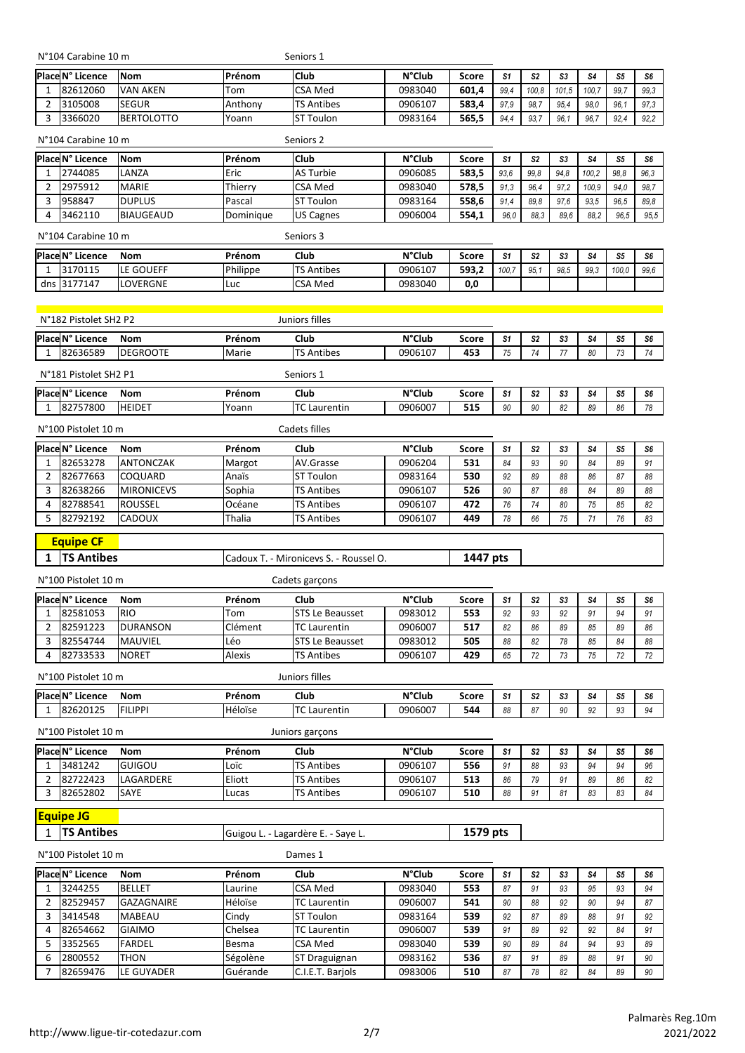N°104 Carabine 10 m Seniors 1

| Place N° Licence | <b>Nom</b>        | IPrénom | Club              | <b>N°Club</b> | Score | S1   | S <sub>2</sub> | S3    | S4    | S5   | S6   |
|------------------|-------------------|---------|-------------------|---------------|-------|------|----------------|-------|-------|------|------|
| 82612060         | <b>VAN AKEN</b>   | Tom     | <b>CSA Med</b>    | 0983040       | 601.4 | 99.4 | 100.8          | 101.5 | 100.7 | 99.7 | 99.3 |
| 3105008          | <b>SEGUR</b>      | Anthony | <b>TS Antibes</b> | 0906107       | 583.4 | 97.9 | 98.7           | 95.4  | 98.0  | 96.1 | 97.3 |
| 3366020          | <b>BERTOLOTTO</b> | Yoann   | <b>ST Toulon</b>  | 0983164       | 565.5 | 94.4 | 93.7           | 96.1  | 96.7  | 92.4 | 92.2 |

| N°104 Carabine 10 m |                  | Seniors <sub>2</sub> |                  |               |       |      |                |      |       |      |      |
|---------------------|------------------|----------------------|------------------|---------------|-------|------|----------------|------|-------|------|------|
| Place N° Licence    | lNom             | Prénom               | <b>Club</b>      | <b>N°Club</b> | Score | S1   | S <sub>2</sub> | S3   | S4    | S5   | S6   |
| 2744085             | LANZA            | Eric                 | <b>AS Turbie</b> | 0906085       | 583,5 | 93.6 | 99.8           | 94.8 | 100.2 | 98.8 | 96.3 |
| 2975912             | <b>MARIE</b>     | Thierry              | CSA Med          | 0983040       | 578.5 | 91.3 | 96.4           | 97.2 | 100.9 | 94.0 | 98.7 |
| 958847              | <b>DUPLUS</b>    | Pascal               | <b>ST Toulon</b> | 0983164       | 558.6 | 91.4 | 89.8           | 97.6 | 93.5  | 96.5 | 89.8 |
| 3462110             | <b>BIAUGEAUD</b> | Dominique            | <b>US Cagnes</b> | 0906004       | 554,1 | 96,0 | 88.3           | 89,6 | 88.2  | 96.5 | 95.5 |
| N°104 Carabine 10 m |                  |                      | Seniors 3        |               |       |      |                |      |       |      |      |

|     | Place N° Licence      | <b>Nom</b>           | Prénom   | Club              | <b>N°Club</b> | Score | S1    | CO.<br>υz | S3   | S4   | S5    | S6   |
|-----|-----------------------|----------------------|----------|-------------------|---------------|-------|-------|-----------|------|------|-------|------|
|     | 3170115               | <b>GOUEFF</b><br>LE. | Philippe | <b>TS Antibes</b> | 0906107       | 593.2 | 100.7 | 95.       | 98.5 | 99.3 | 100.0 | 99.6 |
| dns | L77147<br>$131^\circ$ | <b>ILOVERGNE</b>     | Luc      | <b>CSA Med</b>    | 0983040       | 0,0   |       |           |      |      |       |      |

|                | N°182 Pistolet SH2 P2 |                         | Juniors filles |                                        |                    |              |                |                |          |                |                |    |
|----------------|-----------------------|-------------------------|----------------|----------------------------------------|--------------------|--------------|----------------|----------------|----------|----------------|----------------|----|
|                | Place N° Licence      | Nom                     | Prénom         | Club                                   | <b>N°Club</b>      | <b>Score</b> | S1             | S <sub>2</sub> | S3       | S <sub>4</sub> | S5             | S6 |
| $\mathbf{1}$   | 82636589              | <b>DEGROOTE</b>         | Marie          | <b>TS Antibes</b>                      | 0906107            | 453          | 75             | 74             | 77       | 80             | 73             | 74 |
|                | N°181 Pistolet SH2 P1 |                         |                | Seniors 1                              |                    |              |                |                |          |                |                |    |
|                | Place N° Licence      | Nom                     | Prénom         | Club                                   | <b>N°Club</b>      | <b>Score</b> | S <sub>1</sub> | S <sub>2</sub> | S3       | S4             | S <sub>5</sub> | S6 |
| 1              | 82757800              | <b>HEIDET</b>           | Yoann          | <b>TC Laurentin</b>                    | 0906007            | 515          | 90             | 90             | 82       | 89             | 86             | 78 |
|                | N°100 Pistolet 10 m   |                         |                | Cadets filles                          |                    |              |                |                |          |                |                |    |
|                | Place N° Licence      | Nom                     | Prénom         | Club                                   | <b>N°Club</b>      | Score        | S <sub>1</sub> | S <sub>2</sub> | S3       | S <sub>4</sub> | S <sub>5</sub> | S6 |
| $\mathbf{1}$   | 82653278              | ANTONCZAK               | Margot         | AV.Grasse                              | 0906204            | 531          | 84             | 93             | 90       | 84             | 89             | 91 |
| $\overline{2}$ | 82677663              | COQUARD                 | Anaïs          | <b>ST Toulon</b>                       | 0983164            | 530          | 92             | 89             | 88       | 86             | 87             | 88 |
| 3              | 82638266              | <b>MIRONICEVS</b>       | Sophia         | <b>TS Antibes</b>                      | 0906107            | 526          | 90             | 87             | 88       | 84             | 89             | 88 |
| 4              | 82788541              | ROUSSEL                 | Océane         | <b>TS Antibes</b>                      | 0906107            | 472          | 76             | 74             | 80       | 75             | 85             | 82 |
| 5              | 82792192              | CADOUX                  | Thalia         | <b>TS Antibes</b>                      | 0906107            | 449          | 78             | 66             | 75       | 71             | 76             | 83 |
|                | <b>Equipe CF</b>      |                         |                |                                        |                    |              |                |                |          |                |                |    |
| 1              | <b>TS Antibes</b>     |                         |                | Cadoux T. - Mironicevs S. - Roussel O. |                    | 1447 pts     |                |                |          |                |                |    |
|                | N°100 Pistolet 10 m   |                         |                | Cadets garçons                         |                    |              |                |                |          |                |                |    |
|                | Place N° Licence      | <b>Nom</b>              | Prénom         | Club                                   | <b>N°Club</b>      | <b>Score</b> | S1             | S <sub>2</sub> | S3       | S4             | S <sub>5</sub> | S6 |
| 1              | 82581053              | <b>RIO</b>              | Tom            | <b>STS Le Beausset</b>                 | 0983012            | 553          | 92             | 93             | 92       | 91             | 94             | 91 |
| $\overline{2}$ | 82591223              | <b>DURANSON</b>         | Clément        | <b>TC Laurentin</b>                    | 0906007            | 517          | 82             | 86             | 89       | 85             | 89             | 86 |
| 3              | 82554744              | MAUVIEL                 | Léo            | <b>STS Le Beausset</b>                 | 0983012            | 505          | 88             | 82             | 78       | 85             | 84             | 88 |
| 4              | 82733533              | <b>NORET</b>            | Alexis         | <b>TS Antibes</b>                      | 0906107            | 429          | 65             | 72             | 73       | 75             | 72             | 72 |
|                | N°100 Pistolet 10 m   |                         |                | Juniors filles                         |                    |              |                |                |          |                |                |    |
|                | Place N° Licence      | Nom                     | Prénom         | Club                                   | <b>N°Club</b>      | Score        | S <sub>1</sub> | S2             | S3       | S4             | S <sub>5</sub> | S6 |
| $\mathbf{1}$   | 82620125              | <b>FILIPPI</b>          | Héloïse        | <b>TC Laurentin</b>                    | 0906007            | 544          | 88             | 87             | 90       | 92             | 93             | 94 |
|                | N°100 Pistolet 10 m   |                         |                | Juniors garçons                        |                    |              |                |                |          |                |                |    |
|                | Place N° Licence      | <b>Nom</b>              | Prénom         | Club                                   | <b>N°Club</b>      | <b>Score</b> | S <sub>1</sub> | S <sub>2</sub> | S3       | S <sub>4</sub> | S <sub>5</sub> | S6 |
| $\mathbf{1}$   | 3481242               | GUIGOU                  | Loïc           | <b>TS Antibes</b>                      | 0906107            | 556          | 91             | 88             | 93       | 94             | 94             | 96 |
| $\overline{2}$ | 82722423              | LAGARDERE               | Eliott         | <b>TS Antibes</b>                      | 0906107            | 513          | 86             | 79             | 91       | 89             | 86             | 82 |
| 3              | 82652802              | SAYE                    | Lucas          | <b>TS Antibes</b>                      | 0906107            | 510          | 88             | 91             | 81       | 83             | 83             | 84 |
|                | <b>Equipe JG</b>      |                         |                |                                        |                    |              |                |                |          |                |                |    |
| 1              | <b>TS Antibes</b>     |                         |                | Guigou L. - Lagardère E. - Saye L.     |                    | 1579 pts     |                |                |          |                |                |    |
|                | N°100 Pistolet 10 m   |                         |                | Dames 1                                |                    |              |                |                |          |                |                |    |
|                |                       |                         |                |                                        |                    |              |                |                |          |                |                |    |
|                | Place N° Licence      | Nom                     | Prénom         | Club                                   | <b>N°Club</b>      | <b>Score</b> | S1             | S <sub>2</sub> | S3       | S4             | S <sub>5</sub> | S6 |
| 1              | 3244255               | <b>BELLET</b>           | Laurine        | <b>CSA Med</b>                         | 0983040            | 553          | 87             | 91             | 93       | 95             | 93             | 94 |
| 2              | 82529457              | GAZAGNAIRE              | Héloïse        | <b>TC Laurentin</b>                    | 0906007            | 541          | 90             | 88             | 92       | 90             | 94             | 87 |
| 3              | 3414548               | <b>MABEAU</b>           | Cindy          | <b>ST Toulon</b>                       | 0983164            | 539          | 92             | 87             | 89       | 88             | 91             | 92 |
| 4<br>5         | 82654662<br>3352565   | GIAIMO<br><b>FARDEL</b> | Chelsea        | <b>TC Laurentin</b><br><b>CSA Med</b>  | 0906007<br>0983040 | 539<br>539   | 91<br>90       | 89<br>89       | 92<br>84 | 92<br>94       | 84<br>93       | 91 |
| 6              |                       |                         | Besma          |                                        |                    |              |                |                |          |                |                | 89 |
|                | 2800552               | <b>THON</b>             | Ségolène       | ST Draguignan                          | 0983162            | 536          | 87             | 91             | 89       | 88             | 91             | 90 |

7 82659476 LE GUYADER Guérande C.I.E.T. Barjols 0983006 **510** *87 78 82 84 89 90*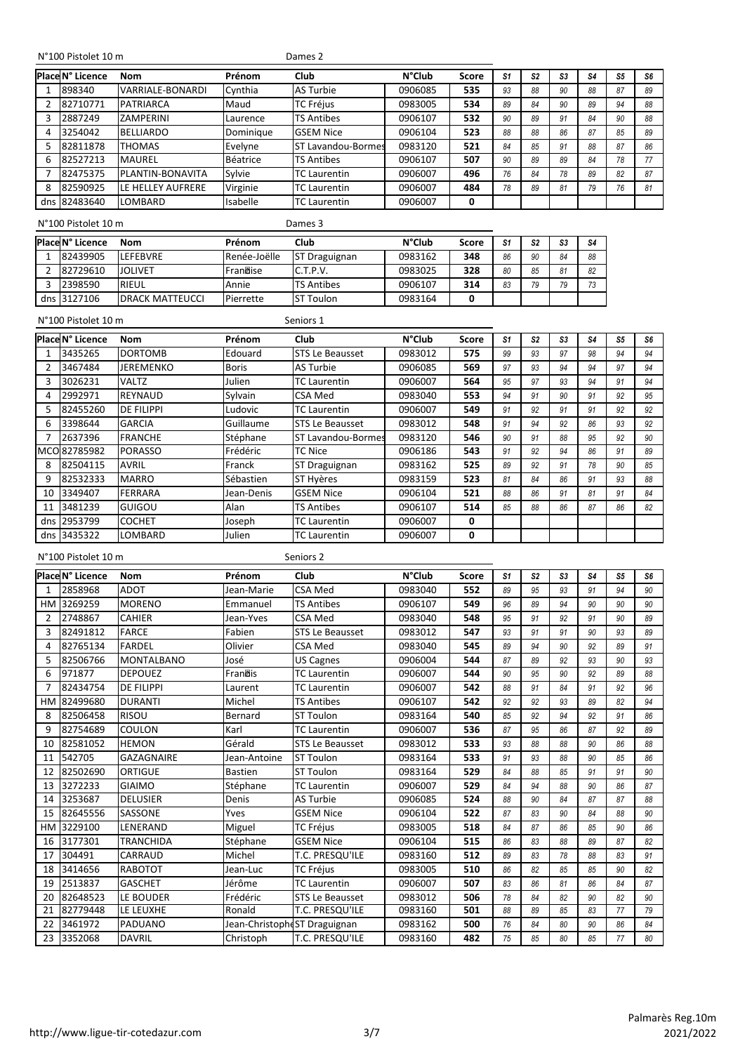#### N°100 Pistolet 10 m Dames 2

|   | Place N° Licence | <b>Nom</b>        | Prénom    | Club                  | <b>N°Club</b> | <b>Score</b> | S1 | S2 | S <sub>3</sub> | S4 | S5 | S <sub>6</sub> |
|---|------------------|-------------------|-----------|-----------------------|---------------|--------------|----|----|----------------|----|----|----------------|
|   | 898340           | VARRIALE-BONARDI  | Cynthia   | <b>AS Turbie</b>      | 0906085       | 535          | 93 | 88 | 90             | 88 | 87 | 89             |
|   | 82710771         | PATRIARCA         | Maud      | <b>TC Fréjus</b>      | 0983005       | 534          | 89 | 84 | 90             | 89 | 94 | 88             |
| 3 | 2887249          | <b>ZAMPERINI</b>  | Laurence  | <b>TS Antibes</b>     | 0906107       | 532          | 90 | 89 | 91             | 84 | 90 | 88             |
| 4 | 3254042          | <b>BELLIARDO</b>  | Dominique | <b>GSEM Nice</b>      | 0906104       | 523          | 88 | 88 | 86             | 87 | 85 | 89             |
| 5 | 82811878         | <b>THOMAS</b>     | Evelyne   | Lavandou-Bormes<br>SТ | 0983120       | 521          | 84 | 85 | 91             | 88 | 87 | 86             |
| 6 | 82527213         | <b>MAUREL</b>     | Béatrice  | <b>TS Antibes</b>     | 0906107       | 507          | 90 | 89 | 89             | 84 | 78 | 77             |
|   | 82475375         | PLANTIN-BONAVITA  | Sylvie    | <b>TC</b> Laurentin   | 0906007       | 496          | 76 | 84 | 78             | 89 | 82 | 87             |
| 8 | 82590925         | LE HELLEY AUFRERE | Virginie  | <b>TC Laurentin</b>   | 0906007       | 484          | 78 | 89 | 81             | 79 | 76 | 81             |
|   | dns 82483640     | <b>LOMBARD</b>    | Isabelle  | <b>TC Laurentin</b>   | 0906007       | 0            |    |    |                |    |    |                |
|   |                  |                   |           |                       |               |              |    |    |                |    |    |                |

N°100 Pistolet 10 m Dames 3

| Place N° Licence | Nom                    | Prénom       | Club              | <b>N°Club</b> | Score | S1 | S <sub>2</sub> | S3 |    |
|------------------|------------------------|--------------|-------------------|---------------|-------|----|----------------|----|----|
| 82439905         | LEFEBVRE               | Renée-Joëlle | ST Draguignan     | 0983162       | 348   | 86 | 90             | 84 | 88 |
| 82729610         | <b>JOLIVET</b>         | Francise     | C.T.P.V.          | 0983025       | 328   | 80 | 85             | 81 | 82 |
| 2398590          | RIEUL                  | Annie        | <b>TS Antibes</b> | 0906107       | 314   | 83 | 79             | 70 |    |
| dns 3127106      | <b>DRACK MATTEUCCL</b> | Pierrette    | <b>ST Toulon</b>  | 0983164       |       |    |                |    |    |

N°100 Pistolet 10 m Seniors 1

|    | Place N° Licence | Nom               | Prénom       | <b>Club</b>            | <b>N°Club</b> | Score | S1 | S <sub>2</sub> | S3 | S4 | S5 | S6 |
|----|------------------|-------------------|--------------|------------------------|---------------|-------|----|----------------|----|----|----|----|
|    | 3435265          | <b>DORTOMB</b>    | Edouard      | <b>STS Le Beausset</b> | 0983012       | 575   | 99 | 93             | 97 | 98 | 94 | 94 |
|    | 3467484          | <b>JEREMENKO</b>  | <b>Boris</b> | <b>AS Turbie</b>       | 0906085       | 569   | 97 | 93             | 94 | 94 | 97 | 94 |
| 3  | 3026231          | <b>VALTZ</b>      | Julien       | <b>TC Laurentin</b>    | 0906007       | 564   | 95 | 97             | 93 | 94 | 91 | 94 |
| 4  | 2992971          | <b>REYNAUD</b>    | Sylvain      | CSA Med                | 0983040       | 553   | 94 | 91             | 90 | 91 | 92 | 95 |
| 5  | 82455260         | <b>DE FILIPPI</b> | Ludovic      | <b>TC Laurentin</b>    | 0906007       | 549   | 91 | 92             | 91 | 91 | 92 | 92 |
| 6  | 3398644          | <b>GARCIA</b>     | Guillaume    | <b>STS Le Beausset</b> | 0983012       | 548   | 91 | 94             | 92 | 86 | 93 | 92 |
|    | 2637396          | <b>FRANCHE</b>    | Stéphane     | ST Lavandou-Bormes     | 0983120       | 546   | 90 | 91             | 88 | 95 | 92 | 90 |
|    | MCO 82785982     | <b>PORASSO</b>    | Frédéric     | <b>TC Nice</b>         | 0906186       | 543   | 91 | 92             | 94 | 86 | 91 | 89 |
| 8  | 82504115         | <b>AVRIL</b>      | Franck       | ST Draguignan          | 0983162       | 525   | 89 | 92             | 91 | 78 | 90 | 85 |
| 9  | 82532333         | <b>MARRO</b>      | Sébastien    | ST Hyères              | 0983159       | 523   | 81 | 84             | 86 | 91 | 93 | 88 |
| 10 | 3349407          | <b>FERRARA</b>    | Jean-Denis   | <b>GSEM Nice</b>       | 0906104       | 521   | 88 | 86             | 91 | 81 | 91 | 84 |
| 11 | 3481239          | <b>GUIGOU</b>     | Alan         | <b>TS Antibes</b>      | 0906107       | 514   | 85 | 88             | 86 | 87 | 86 | 82 |
|    | dns 2953799      | <b>COCHET</b>     | Joseph       | <b>TC Laurentin</b>    | 0906007       | 0     |    |                |    |    |    |    |
|    | dns 3435322      | <b>LOMBARD</b>    | Julien       | <b>TC Laurentin</b>    | 0906007       | 0     |    |                |    |    |    |    |

N°100 Pistolet 10 m Seniors 2

|                | Place N° Licence | <b>Nom</b>        | Prénom                        | Club                   | <b>N°Club</b> | <b>Score</b> | S1 | S <sub>2</sub> | S3 | S4 | S <sub>5</sub> | S6 |
|----------------|------------------|-------------------|-------------------------------|------------------------|---------------|--------------|----|----------------|----|----|----------------|----|
| $\mathbf{1}$   | 2858968          | <b>ADOT</b>       | Jean-Marie                    | <b>CSA Med</b>         | 0983040       | 552          | 89 | 95             | 93 | 91 | 94             | 90 |
| <b>HM</b>      | 3269259          | <b>MORENO</b>     | Emmanuel                      | <b>TS Antibes</b>      | 0906107       | 549          | 96 | 89             | 94 | 90 | 90             | 90 |
| $\overline{2}$ | 2748867          | <b>CAHIER</b>     | Jean-Yves                     | <b>CSA Med</b>         | 0983040       | 548          | 95 | 91             | 92 | 91 | 90             | 89 |
| 3              | 82491812         | <b>FARCE</b>      | Fabien                        | <b>STS Le Beausset</b> | 0983012       | 547          | 93 | 91             | 91 | 90 | 93             | 89 |
| 4              | 82765134         | <b>FARDEL</b>     | Olivier                       | <b>CSA Med</b>         | 0983040       | 545          | 89 | 94             | 90 | 92 | 89             | 91 |
| 5              | 82506766         | <b>MONTALBANO</b> | José                          | <b>US Cagnes</b>       | 0906004       | 544          | 87 | 89             | 92 | 93 | 90             | 93 |
| 6              | 971877           | <b>DEPOUEZ</b>    | Franois                       | TC Laurentin           | 0906007       | 544          | 90 | 95             | 90 | 92 | 89             | 88 |
| $\overline{7}$ | 82434754         | <b>DE FILIPPI</b> | Laurent                       | <b>TC Laurentin</b>    | 0906007       | 542          | 88 | 91             | 84 | 91 | 92             | 96 |
| HM             | 82499680         | <b>DURANTI</b>    | Michel                        | <b>TS Antibes</b>      | 0906107       | 542          | 92 | 92             | 93 | 89 | 82             | 94 |
| 8              | 82506458         | <b>RISOU</b>      | Bernard                       | <b>ST Toulon</b>       | 0983164       | 540          | 85 | 92             | 94 | 92 | 91             | 86 |
| 9              | 82754689         | <b>COULON</b>     | Karl                          | <b>TC Laurentin</b>    | 0906007       | 536          | 87 | 95             | 86 | 87 | 92             | 89 |
| 10             | 82581052         | <b>HEMON</b>      | Gérald                        | <b>STS Le Beausset</b> | 0983012       | 533          | 93 | 88             | 88 | 90 | 86             | 88 |
| 11             | 542705           | <b>GAZAGNAIRE</b> | Jean-Antoine                  | <b>ST Toulon</b>       | 0983164       | 533          | 91 | 93             | 88 | 90 | 85             | 86 |
| 12             | 82502690         | ORTIGUE           | <b>Bastien</b>                | <b>ST Toulon</b>       | 0983164       | 529          | 84 | 88             | 85 | 91 | 91             | 90 |
| 13             | 3272233          | <b>GIAIMO</b>     | Stéphane                      | TC Laurentin           | 0906007       | 529          | 84 | 94             | 88 | 90 | 86             | 87 |
| 14             | 3253687          | <b>DELUSIER</b>   | Denis                         | <b>AS Turbie</b>       | 0906085       | 524          | 88 | 90             | 84 | 87 | 87             | 88 |
| 15             | 82645556         | SASSONE           | Yves                          | <b>GSEM Nice</b>       | 0906104       | 522          | 87 | 83             | 90 | 84 | 88             | 90 |
| <b>HM</b>      | 3229100          | LENERAND          | Miguel                        | <b>TC Fréjus</b>       | 0983005       | 518          | 84 | 87             | 86 | 85 | 90             | 86 |
| 16             | 3177301          | <b>TRANCHIDA</b>  | Stéphane                      | <b>GSEM Nice</b>       | 0906104       | 515          | 86 | 83             | 88 | 89 | 87             | 82 |
| 17             | 304491           | CARRAUD           | Michel                        | T.C. PRESQU'ILE        | 0983160       | 512          | 89 | 83             | 78 | 88 | 83             | 91 |
| 18             | 3414656          | <b>RABOTOT</b>    | Jean-Luc                      | <b>TC Fréjus</b>       | 0983005       | 510          | 86 | 82             | 85 | 85 | 90             | 82 |
| 19             | 2513837          | <b>GASCHET</b>    | Jérôme                        | <b>TC Laurentin</b>    | 0906007       | 507          | 83 | 86             | 81 | 86 | 84             | 87 |
| 20             | 82648523         | LE BOUDER         | Frédéric                      | <b>STS Le Beausset</b> | 0983012       | 506          | 78 | 84             | 82 | 90 | 82             | 90 |
| 21             | 82779448         | LE LEUXHE         | Ronald                        | T.C. PRESQU'ILE        | 0983160       | 501          | 88 | 89             | 85 | 83 | 77             | 79 |
| 22             | 3461972          | <b>PADUANO</b>    | Jean-Christophe ST Draguignan |                        | 0983162       | 500          | 76 | 84             | 80 | 90 | 86             | 84 |
| 23             | 3352068          | <b>DAVRIL</b>     | Christoph                     | <b>T.C. PRESQU'ILE</b> | 0983160       | 482          | 75 | 85             | 80 | 85 | 77             | 80 |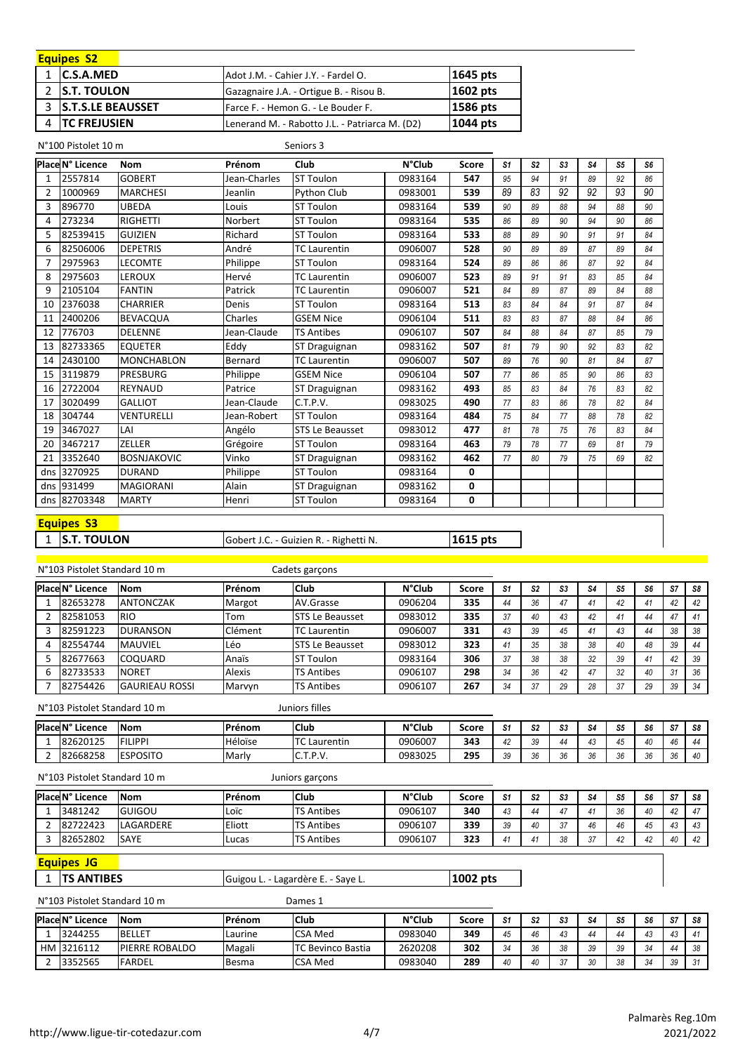| <b>Equipes S2</b>    |                                                |              |
|----------------------|------------------------------------------------|--------------|
| 1 <b>C.S.A.MED</b>   | Adot J.M. - Cahier J.Y. - Fardel O.            | 1645 pts     |
| 2 IS.T. TOULON       | Gazagnaire J.A. - Ortigue B. - Risou B.        | 1602 pts     |
| 3 S.T.S.LE BEAUSSET  | Farce F. - Hemon G. - Le Bouder F.             | 1586 pts     |
| <b>ITC FREJUSIEN</b> | Lenerand M. - Rabotto J.L. - Patriarca M. (D2) | $ 1044 $ pts |

N°100 Pistolet 10 m Seniors 3

|                | Place N° Licence | <b>Nom</b>         | Prénom       | Club                   | <b>N°Club</b> | <b>Score</b> | S <sub>1</sub> | S <sub>2</sub> | S3 | S4 | S <sub>5</sub> | S6 |
|----------------|------------------|--------------------|--------------|------------------------|---------------|--------------|----------------|----------------|----|----|----------------|----|
| $\mathbf{1}$   | 2557814          | <b>GOBERT</b>      | Jean-Charles | <b>ST Toulon</b>       | 0983164       | 547          | 95             | 94             | 91 | 89 | 92             | 86 |
| $\overline{2}$ | 1000969          | <b>MARCHESI</b>    | Jeanlin      | Python Club            | 0983001       | 539          | 89             | 83             | 92 | 92 | 93             | 90 |
| 3              | 896770           | <b>UBEDA</b>       | Louis        | <b>ST Toulon</b>       | 0983164       | 539          | 90             | 89             | 88 | 94 | 88             | 90 |
| 4              | 273234           | <b>RIGHETTI</b>    | Norbert      | <b>ST Toulon</b>       | 0983164       | 535          | 86             | 89             | 90 | 94 | 90             | 86 |
| 5              | 82539415         | <b>GUIZIEN</b>     | Richard      | <b>ST Toulon</b>       | 0983164       | 533          | 88             | 89             | 90 | 91 | 91             | 84 |
| 6              | 82506006         | <b>DEPETRIS</b>    | André        | TC Laurentin           | 0906007       | 528          | 90             | 89             | 89 | 87 | 89             | 84 |
| 7              | 2975963          | <b>LECOMTE</b>     | Philippe     | <b>ST Toulon</b>       | 0983164       | 524          | 89             | 86             | 86 | 87 | 92             | 84 |
| 8              | 2975603          | <b>LEROUX</b>      | Hervé        | <b>TC Laurentin</b>    | 0906007       | 523          | 89             | 91             | 91 | 83 | 85             | 84 |
| 9              | 2105104          | <b>FANTIN</b>      | Patrick      | <b>TC Laurentin</b>    | 0906007       | 521          | 84             | 89             | 87 | 89 | 84             | 88 |
| 10             | 2376038          | <b>CHARRIER</b>    | Denis        | <b>ST Toulon</b>       | 0983164       | 513          | 83             | 84             | 84 | 91 | 87             | 84 |
| 11             | 2400206          | <b>BEVACQUA</b>    | Charles      | <b>GSEM Nice</b>       | 0906104       | 511          | 83             | 83             | 87 | 88 | 84             | 86 |
| 12             | 776703           | <b>DELENNE</b>     | Jean-Claude  | <b>TS Antibes</b>      | 0906107       | 507          | 84             | 88             | 84 | 87 | 85             | 79 |
| 13             | 82733365         | <b>EQUETER</b>     | Eddy         | ST Draguignan          | 0983162       | 507          | 81             | 79             | 90 | 92 | 83             | 82 |
| 14             | 2430100          | <b>MONCHABLON</b>  | Bernard      | <b>TC Laurentin</b>    | 0906007       | 507          | 89             | 76             | 90 | 81 | 84             | 87 |
| 15             | 3119879          | <b>PRESBURG</b>    | Philippe     | <b>GSEM Nice</b>       | 0906104       | 507          | 77             | 86             | 85 | 90 | 86             | 83 |
| 16             | 2722004          | <b>REYNAUD</b>     | Patrice      | ST Draguignan          | 0983162       | 493          | 85             | 83             | 84 | 76 | 83             | 82 |
| 17             | 3020499          | <b>GALLIOT</b>     | Jean-Claude  | C.T.P.V.               | 0983025       | 490          | 77             | 83             | 86 | 78 | 82             | 84 |
| 18             | 304744           | VENTURELLI         | Jean-Robert  | <b>ST Toulon</b>       | 0983164       | 484          | 75             | 84             | 77 | 88 | 78             | 82 |
| 19             | 3467027          | LAI                | Angélo       | <b>STS Le Beausset</b> | 0983012       | 477          | 81             | 78             | 75 | 76 | 83             | 84 |
| 20             | 3467217          | <b>ZELLER</b>      | Grégoire     | <b>ST Toulon</b>       | 0983164       | 463          | 79             | 78             | 77 | 69 | 81             | 79 |
| 21             | 3352640          | <b>BOSNJAKOVIC</b> | Vinko        | ST Draguignan          | 0983162       | 462          | 77             | 80             | 79 | 75 | 69             | 82 |
| dns            | 3270925          | <b>DURAND</b>      | Philippe     | <b>ST Toulon</b>       | 0983164       | 0            |                |                |    |    |                |    |
|                | dns 931499       | <b>MAGIORANI</b>   | Alain        | ST Draguignan          | 0983162       | 0            |                |                |    |    |                |    |
|                | dns 82703348     | <b>MARTY</b>       | Henri        | <b>ST Toulon</b>       | 0983164       | 0            |                |                |    |    |                |    |

#### **Equipes S3**

1 S.T. TOULON Gobert J.C. - Guizien R. - Righetti N. **1615 pts** 

N°103 Pistolet Standard 10 m **PlaceN° Licence Nom Prénom Club N°Club Score** *S1 S2 S3 S4 S5 S6 S7 S8* 82653278 ANTONCZAK Margot AV.Grasse 0906204 **335** *44 36 47 41 42 41 42 42* 82581053 RIO Tom STS Le Beausset 0983012 **335** *37 40 43 42 41 44 47 41* 82591223 DURANSON Clément TC Laurentin 0906007 **331** *43 39 45 41 43 44 38 38* 82554744 MAUVIEL Léo STS Le Beausset 0983012 **323** *41 35 38 38 40 48 39 44* 82677663 COQUARD Anaïs ST Toulon 0983164 **306** *37 38 38 32 39 41 42 39* 82733533 NORET Alexis TS Antibes 0906107 **298** *34 36 42 47 32 40 31 36* 82754426 GAURIEAU ROSSI Marvyn TS Antibes 0906107 **267** *34 37 29 28 37 29 39 34* Cadets garçons

N°103 Pistolet Standard 10 m

Juniors filles

| Place N° Licence | <b>INom</b>     | <b>IPrénom</b> | <b>Club</b>                         | <b>N°Club</b> | Score | S1         | $\mathbf{a}$<br>ЭZ     | $\sim$<br>აა | S4         | or.<br>υ. | S <sub>6</sub> | S7 | - S8 |
|------------------|-----------------|----------------|-------------------------------------|---------------|-------|------------|------------------------|--------------|------------|-----------|----------------|----|------|
| 82620125         | <b>FILIPPI</b>  | Héloïse        | Laurentin                           | 0906007       | 343   | $\sqrt{2}$ | $\sim$<br>-            | 44           | $\sqrt{2}$ |           | $\sqrt{2}$     | 46 | 44   |
| 82668258         | <b>ESPOSITO</b> | Marly          | י מ'<br>$\sim$<br>ີ<br>. <b>.</b> . | 0983025       | 295   | 39         | $\sim$<br>$\epsilon$ n |              | ጎሶ<br>36   | $\sim$    | $\sim$         | 36 | 40   |

| N°103 Pistolet Standard 10 m |               |                | Juniors garçons   |               |       |                |     |    |    |    |    |           |      |
|------------------------------|---------------|----------------|-------------------|---------------|-------|----------------|-----|----|----|----|----|-----------|------|
| Place N° Licence             | <b>INom</b>   | <b>IPrénom</b> | <sup>I</sup> Club | <b>N°Club</b> | Score | S1             | -S2 | S3 | S4 | S5 | S6 | <b>S7</b> | -S8  |
| 3481242                      | <b>GUIGOU</b> | . Loïc         | <b>TS Antibes</b> | 0906107       | 340   | 43             |     | 17 |    | 36 | 40 | 42        | - 47 |
| 82722423                     | LAGARDERE     | Eliott         | <b>TS Antibes</b> | 0906107       | 339   | 39             | 40  | 27 | 46 | 46 | 45 | 43        | -43  |
| 82652802                     | <b>ISAYE</b>  | Lucas          | <b>TS Antibes</b> | 0906107       | 323   | 4 <sup>1</sup> |     | 38 | 27 | 42 | 42 | 40        | 42   |

#### **Equipes JG**

1 |TS ANTIBES Guigou L. - Lagardère E. - Saye L. **1002 pts** 

N°103 Pistolet Standard 10 m Dames 1

| Place N° Licence | <b>INom</b>            | <b>Prénom</b> | <b>Club</b>       | <b>N°Club</b> | Score | S1 | S <sub>2</sub> | e.          | S4       | S5 | S6                   | e7        | S8                |
|------------------|------------------------|---------------|-------------------|---------------|-------|----|----------------|-------------|----------|----|----------------------|-----------|-------------------|
| 3244255          | <b>BELLET</b>          | Laurine       | <b>CSA Med</b>    | 0983040       | 349   | 45 | 46             |             |          |    | $\overline{1}$<br>43 | $\Lambda$ |                   |
| HM 3216112       | <b>IPIERRE ROBALDO</b> | Magali        | TC Bevinco Bastia | 2620208       | 302   | 34 | 36             | 29          | 39       | 39 | 21                   |           | -38               |
| 3352565          | FARDEL                 | Besma         | <b>CSA Med</b>    | 0983040       | 289   | 40 | 40             | $\sim$<br>v | $\Omega$ | 38 | 3 <sub>A</sub>       | 30        | $^{\circ}$<br>ا ت |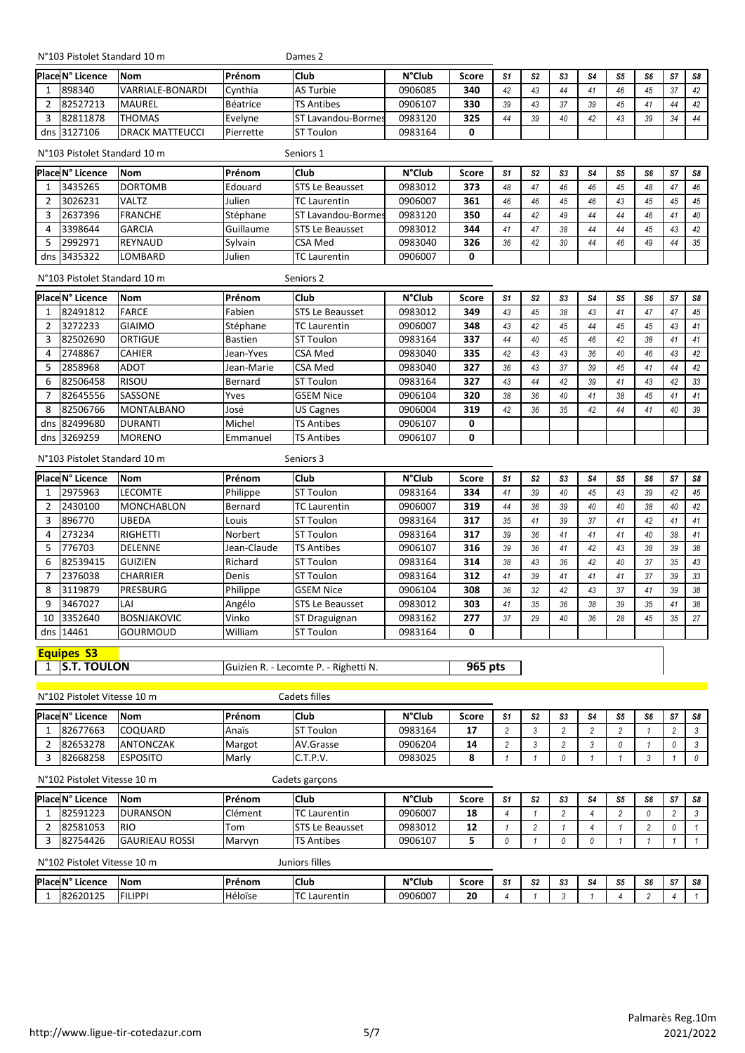N°103 Pistolet Standard 10 m

Dames 2

| Place N° Licence | <b>INom</b>            | Prénom    | <b>Club</b>               | <b>N°Club</b> | Score | S <sub>1</sub> | S <sub>2</sub> | S3     | S4 | S5 | S6 | -S7 | S8 |
|------------------|------------------------|-----------|---------------------------|---------------|-------|----------------|----------------|--------|----|----|----|-----|----|
| 898340           | VARRIALE-BONARDI       | Cvnthia   | <b>AS Turbie</b>          | 0906085       | 340   | 42             |                |        |    | 16 | 45 | 37  | 42 |
| 82527213         | <b>MAUREL</b>          | Béatrice  | <b>TS Antibes</b>         | 0906107       | 330   | 39             | 43             | $\sim$ | 39 | 15 | 41 |     | 42 |
| 82811878         | <b>THOMAS</b>          | Evelyne   | <b>ST Lavandou-Bormes</b> | 0983120       | 325   | 44             | 39             | 40     | 42 | 12 | 39 | 21  | 44 |
| dns 3127106      | <b>DRACK MATTEUCCL</b> | Pierrette | Ist<br>Toulon             | 0983164       | 0     |                |                |        |    |    |    |     |    |

|   | N°103 Pistolet Standard 10 m |                |           | Seniors 1              |               |       |                |    |    |    |    |    |    |    |
|---|------------------------------|----------------|-----------|------------------------|---------------|-------|----------------|----|----|----|----|----|----|----|
|   | Place N° Licence             | <b>INom</b>    | Prénom    | <b>Club</b>            | <b>N°Club</b> | Score | S <sub>1</sub> | S2 | S3 | S4 | S5 | S6 | S7 | S8 |
|   | 3435265                      | <b>DORTOMB</b> | Edouard   | <b>STS Le Beausset</b> | 0983012       | 373   | 48             | 47 | 46 | 46 | 45 | 48 | 47 | 46 |
|   | 3026231                      | <b>VALTZ</b>   | Julien    | <b>TC Laurentin</b>    | 0906007       | 361   | 46             | 46 | 45 | 46 | 43 | 45 | 45 | 45 |
| 3 | 2637396                      | <b>FRANCHE</b> | Stéphane  | Lavandou-Bormes        | 0983120       | 350   | 44             | 42 | 49 | 44 | 44 | 46 |    | 40 |
| 4 | 3398644                      | <b>GARCIA</b>  | Guillaume | <b>STS Le Beausset</b> | 0983012       | 344   | 41             | 47 | 38 | 44 | 44 | 45 | 43 | 42 |
|   | 2992971                      | <b>REYNAUD</b> | Sylvain   | <b>CSA Med</b>         | 0983040       | 326   | 36             | 42 | 30 | 44 | 46 | 49 | 44 | 35 |
|   | dns 3435322                  | LOMBARD        | Julien    | <b>TC Laurentin</b>    | 0906007       | 0     |                |    |    |    |    |    |    |    |

|   | N°103 Pistolet Standard 10 m |                   |                | Seniors 2              |               |              |    |                |    |    |                |    |    |           |
|---|------------------------------|-------------------|----------------|------------------------|---------------|--------------|----|----------------|----|----|----------------|----|----|-----------|
|   | <b>Place N° Licence</b>      | <b>Nom</b>        | Prénom         | <b>Club</b>            | <b>N°Club</b> | <b>Score</b> | S1 | S <sub>2</sub> | S3 | S4 | S <sub>5</sub> | S6 | S7 | <b>S8</b> |
|   | 82491812                     | <b>FARCE</b>      | Fabien         | <b>STS Le Beausset</b> | 0983012       | 349          | 43 | 45             | 38 | 43 | 41             | 47 | 47 | 45        |
|   | 3272233                      | <b>GIAIMO</b>     | Stéphane       | <b>TC Laurentin</b>    | 0906007       | 348          | 43 | 42             | 45 | 44 | 45             | 45 | 43 | 41        |
|   | 82502690                     | <b>ORTIGUE</b>    | <b>Bastien</b> | <b>ST Toulon</b>       | 0983164       | 337          | 44 | 40             | 45 | 46 | 42             | 38 | 41 | -41       |
| 4 | 2748867                      | <b>CAHIER</b>     | Jean-Yves      | CSA Med                | 0983040       | 335          | 42 | 43             | 43 | 36 | 40             | 46 | 43 | 42        |
|   | 2858968                      | <b>ADOT</b>       | Jean-Marie     | <b>CSA Med</b>         | 0983040       | 327          | 36 | 43             | 37 | 39 | 45             | 41 | 44 | 42        |
| 6 | 82506458                     | <b>RISOU</b>      | Bernard        | <b>ST Toulon</b>       | 0983164       | 327          | 43 | 44             | 42 | 39 | 41             | 43 | 42 | 33        |
|   | 82645556                     | SASSONE           | Yves           | <b>GSEM Nice</b>       | 0906104       | 320          | 38 | 36             | 40 | 41 | 38             | 45 | 41 | -41       |
| 8 | 82506766                     | <b>MONTALBANO</b> | José           | <b>US Cagnes</b>       | 0906004       | 319          | 42 | 36             | 35 | 42 | 44             | 41 | 40 | 39        |
|   | dns 82499680                 | <b>DURANTI</b>    | Michel         | <b>TS Antibes</b>      | 0906107       | 0            |    |                |    |    |                |    |    |           |
|   | dns 3269259                  | <b>MORENO</b>     | Emmanuel       | <b>TS Antibes</b>      | 0906107       | 0            |    |                |    |    |                |    |    |           |

Seniors 3

#### N°103 Pistolet Standard 10 m

|               | Place N° Licence | <b>Nom</b>         | Prénom      | <b>Club</b>            | <b>N°Club</b> | <b>Score</b> | S <sub>1</sub> | S <sub>2</sub> | S3 | S4 | S5 | S6 | S7 | S8 |
|---------------|------------------|--------------------|-------------|------------------------|---------------|--------------|----------------|----------------|----|----|----|----|----|----|
|               | 2975963          | <b>LECOMTE</b>     | Philippe    | <b>ST Toulon</b>       | 0983164       | 334          | 41             | 39             | 40 | 45 | 43 | 39 | 42 | 45 |
| $\mathcal{P}$ | 2430100          | <b>MONCHABLON</b>  | Bernard     | TC Laurentin           | 0906007       | 319          | 44             | 36             | 39 | 40 | 40 | 38 | 40 | 42 |
| 3             | 896770           | <b>UBEDA</b>       | Louis       | <b>ST Toulon</b>       | 0983164       | 317          | 35             | 41             | 39 | 37 | 41 | 42 |    | 41 |
| 4             | 273234           | <b>RIGHETTI</b>    | Norbert     | <b>ST Toulon</b>       | 0983164       | 317          | 39             | 36             | 41 | 41 | 41 | 40 | 38 | 41 |
| 5             | 776703           | <b>DELENNE</b>     | Jean-Claude | <b>TS Antibes</b>      | 0906107       | 316          | 39             | 36             | 41 | 42 | 43 | 38 | 39 | 38 |
| 6             | 82539415         | <b>GUIZIEN</b>     | Richard     | <b>ST Toulon</b>       | 0983164       | 314          | 38             | 43             | 36 | 42 | 40 | 37 | 35 | 43 |
|               | 2376038          | <b>CHARRIER</b>    | Denis       | <b>ST Toulon</b>       | 0983164       | 312          | 41             | 39             | 41 | 41 | 41 | 37 | 39 | 33 |
| <sub>R</sub>  | 3119879          | <b>PRESBURG</b>    | Philippe    | <b>GSEM Nice</b>       | 0906104       | 308          | 36             | 32             | 42 | 43 | 37 | 41 | 39 | 38 |
| q             | 3467027          | LAI                | Angélo      | <b>STS Le Beausset</b> | 0983012       | 303          | 41             | 35             | 36 | 38 | 39 | 35 |    | 38 |
| 10            | 3352640          | <b>BOSNJAKOVIC</b> | Vinko       | ST Draguignan          | 0983162       | 277          | 37             | 29             | 40 | 36 | 28 | 45 | 35 | 27 |
|               | dns 14461        | GOURMOUD           | William     | <b>ST Toulon</b>       | 0983164       | 0            |                |                |    |    |    |    |    |    |

# **Equipes S3**

1 S.T. TOULON Guizien R. - Lecomte P. - Righetti N. **965 pts** 

### **PlaceN° Licence Nom Prénom Club N°Club Score** *S1 S2 S3 S4 S5 S6 S7 S8* 1 82677663 COQUARD Anaïs ST Toulon 0983164 **17** *2 3 2 2 2 1 2 3* 2 82653278 ANTONCZAK Margot AV.Grasse 0906204 **14** *2 3 2 3 0 1 0 3* 3 82668258 ESPOSITO Marly C.T.P.V. 0983025 **8** *1 1 0 1 1 3 1 0* N°102 Pistolet Vitesse 10 m Cadets filles

|                             | N°102 Pistolet Vitesse 10 m<br>Cadets garçons |            |                        |               |       |    |                |    |    |    |    |      |    |
|-----------------------------|-----------------------------------------------|------------|------------------------|---------------|-------|----|----------------|----|----|----|----|------|----|
| Place N° Licence            | <b>Nom</b>                                    | Prénom     | <b>Club</b>            | <b>N°Club</b> | Score | S1 | S <sub>2</sub> | S3 | S4 | S5 | S6 | - S7 | S8 |
| 82591223                    | <b>DURANSON</b>                               | Clément    | <b>TC</b> Laurentin    | 0906007       | 18    |    |                |    |    |    |    |      |    |
| 82581053                    | <b>IRIO</b>                                   | <b>Tom</b> | <b>STS Le Beausset</b> | 0983012       | 12    |    |                |    |    |    |    |      |    |
| 82754426                    | <b>GAURIEAU ROSSI</b>                         | Marvvn     | <b>TS Antibes</b>      | 0906107       |       |    |                |    |    |    |    |      |    |
| N°102 Pistolet Vitesse 10 m |                                               |            | Juniors filles         |               |       |    |                |    |    |    |    |      |    |

| Place N° Lio<br>Licence | <b>INom</b>    | Prénom  | <b>IClub</b>            | <b>N°Club</b> | <b>Score</b> | o, | $\sim$<br>ິ | $\mathbf{a}$<br>აა | 54 | S5 | c.c.<br>56 | $\sim$<br>ىد | CO.<br>-58 |
|-------------------------|----------------|---------|-------------------------|---------------|--------------|----|-------------|--------------------|----|----|------------|--------------|------------|
| 82620125                | <b>FILIPPI</b> | Héloïse | <b>ITC</b><br>Laurentir | 0906007       | 20           |    |             |                    |    |    |            |              |            |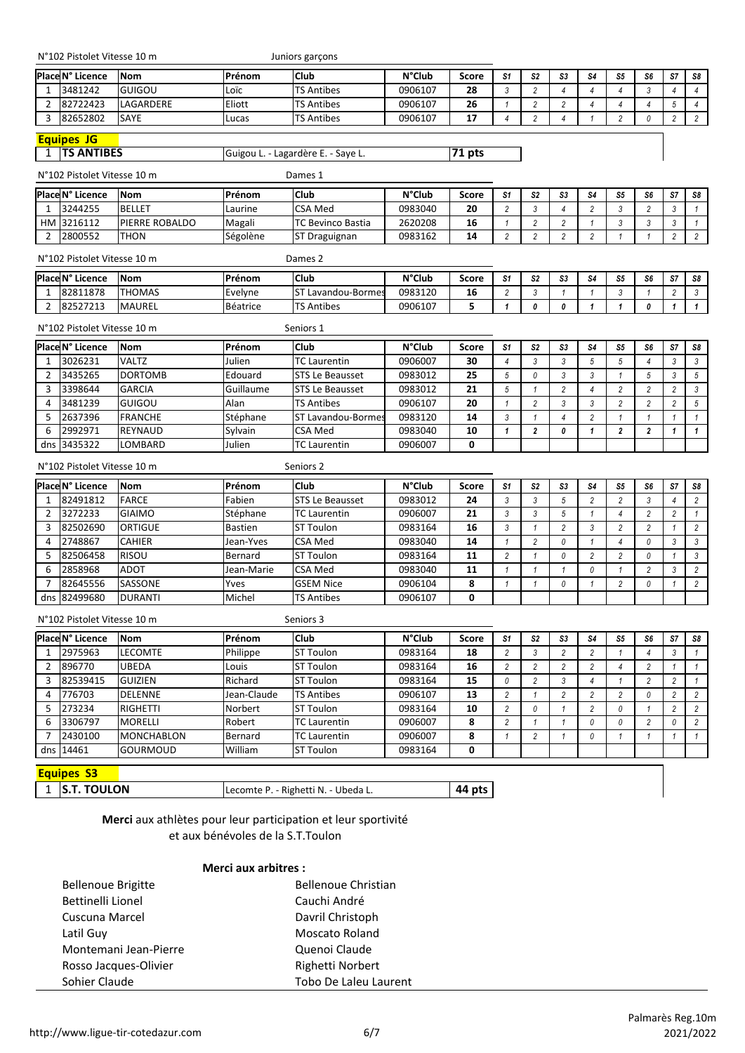|  | N°102 Pistolet Vitesse 10 m |  |  |  |
|--|-----------------------------|--|--|--|
|--|-----------------------------|--|--|--|

Juniors garçons

|                | Place N° Licence            | <b>Nom</b>                                                    | Prénom         | Club                                | <b>N°Club</b> | <b>Score</b> | S1             | S2             | S3                        | S4             | S5             | S6             | S7             | S8             |
|----------------|-----------------------------|---------------------------------------------------------------|----------------|-------------------------------------|---------------|--------------|----------------|----------------|---------------------------|----------------|----------------|----------------|----------------|----------------|
| 1              | 3481242                     | GUIGOU                                                        | Loïc           | <b>TS Antibes</b>                   | 0906107       | 28           | $\mathfrak{Z}$ | $\sqrt{2}$     | 4                         | $\overline{4}$ | $\overline{4}$ | 3              | $\overline{4}$ | $\overline{4}$ |
| $\overline{2}$ | 82722423                    | LAGARDERE                                                     | Eliott         | TS Antibes                          | 0906107       | 26           | $\mathbf{1}$   | $\overline{c}$ | $\overline{c}$            | $\overline{4}$ | $\overline{4}$ | 4              | $\sqrt{5}$     | $\overline{4}$ |
| 3              | 82652802                    | SAYE                                                          | Lucas          | TS Antibes                          | 0906107       | 17           | $\overline{4}$ | $\overline{c}$ | $\overline{4}$            | 1              | $\overline{c}$ | 0              | $\overline{2}$ | $\overline{2}$ |
|                | <b>Equipes JG</b>           |                                                               |                |                                     |               |              |                |                |                           |                |                |                |                |                |
| 1              | <b>TS ANTIBES</b>           |                                                               |                | Guigou L. - Lagardère E. - Saye L.  |               | 71 pts       |                |                |                           |                |                |                |                |                |
|                | N°102 Pistolet Vitesse 10 m |                                                               |                | Dames 1                             |               |              |                |                |                           |                |                |                |                |                |
|                | Place N° Licence            | <b>Nom</b>                                                    | Prénom         | Club                                | <b>N°Club</b> | <b>Score</b> | S <sub>1</sub> | S <sub>2</sub> | S3                        | S <sub>4</sub> | S5             | S6             | S7             | S8             |
| 1              | 3244255                     | <b>BELLET</b>                                                 | Laurine        | <b>CSA Med</b>                      | 0983040       | 20           | $\overline{2}$ | $\mathfrak{Z}$ | $\overline{4}$            | $\overline{c}$ | $\mathfrak{Z}$ | $\overline{c}$ | $\mathfrak{Z}$ | $\mathbf{1}$   |
| HМ             | 3216112                     | PIERRE ROBALDO                                                | Magali         | TC Bevinco Bastia                   | 2620208       | 16           | $\mathbf{1}$   | $\overline{c}$ | $\overline{c}$            | 1              | $\mathfrak{Z}$ | 3              | $\sqrt{3}$     | $\mathbf{1}$   |
| 2              | 2800552                     | <b>THON</b>                                                   | Ségolène       | ST Draguignan                       | 0983162       | 14           | $\overline{2}$ | $\overline{c}$ | $\overline{2}$            | $\overline{c}$ | $\mathbf{1}$   | $\mathbf{1}$   | $\overline{2}$ | $\overline{c}$ |
|                | N°102 Pistolet Vitesse 10 m |                                                               |                | Dames 2                             |               |              |                |                |                           |                |                |                |                |                |
|                | <b>Place N° Licence</b>     | <b>Nom</b>                                                    | Prénom         | Club                                | <b>N°Club</b> | Score        | S <sub>1</sub> | S <sub>2</sub> | S3                        | S4             | S <sub>5</sub> | S6             | S7             | S8             |
| 1              | 82811878                    | <b>THOMAS</b>                                                 | Evelyne        | ST Lavandou-Borme:                  | 0983120       | 16           | $\overline{2}$ | 3              | $\mathbf{1}$              | $\mathbf{1}$   | $\mathfrak{Z}$ | $\mathbf{1}$   | $\overline{2}$ | 3              |
| 2              | 82527213                    | <b>MAUREL</b>                                                 | Béatrice       | <b>TS Antibes</b>                   | 0906107       | 5            | $\mathbf{1}$   | 0              | 0                         | 1              | $\mathbf{1}$   | 0              | 1              | $\mathbf{1}$   |
|                | N°102 Pistolet Vitesse 10 m |                                                               |                | Seniors 1                           |               |              |                |                |                           |                |                |                |                |                |
|                | Place N° Licence            | <b>Nom</b>                                                    | Prénom         | Club                                | <b>N°Club</b> | Score        | S <sub>1</sub> | S2             | S3                        | S <sub>4</sub> | S <sub>5</sub> | S6             | S7             | S8             |
| 1              | 3026231                     | <b>VALTZ</b>                                                  | Julien         | <b>TC Laurentin</b>                 | 0906007       | 30           | $\overline{4}$ | $\sqrt{3}$     | $\mathfrak{Z}$            | 5              | $\sqrt{5}$     | $\overline{4}$ | $\sqrt{3}$     | $\mathfrak{Z}$ |
| 2              | 3435265                     | <b>DORTOMB</b>                                                | Edouard        | STS Le Beausset                     | 0983012       | 25           | $\sqrt{5}$     | 0              | 3                         | 3              | $\mathbf{1}$   | 5              | 3              | $\sqrt{5}$     |
| 3              | 3398644                     | <b>GARCIA</b>                                                 | Guillaume      | <b>STS Le Beausset</b>              | 0983012       | 21           | $\sqrt{5}$     | $\mathbf{1}$   | $\overline{2}$            | $\overline{4}$ | $\overline{c}$ | $\overline{c}$ | $\overline{2}$ | $\sqrt{3}$     |
| $\overline{4}$ | 3481239                     | GUIGOU                                                        | Alan           | TS Antibes                          | 0906107       | 20           | $\mathbf{1}$   | $\overline{c}$ | 3                         | 3              | $\overline{c}$ | $\overline{2}$ | $\overline{c}$ | $\sqrt{5}$     |
| 5              | 2637396                     | <b>FRANCHE</b>                                                | Stéphane       | ST Lavandou-Bormes                  | 0983120       | 14           | $\mathfrak{Z}$ | $\mathbf{1}$   | $\overline{4}$            | $\overline{2}$ | $\mathbf{1}$   | $\mathbf{1}$   | $\overline{1}$ | $\mathbf{1}$   |
| 6              | 2992971                     | <b>REYNAUD</b>                                                | Sylvain        | <b>CSA Med</b>                      | 0983040       | 10           | $\mathbf{1}$   | $\overline{2}$ | 0                         | $\mathbf{1}$   | $\overline{2}$ | $\mathbf{2}$   | $\mathbf{1}$   | $\mathbf{1}$   |
| dns            | 3435322                     | LOMBARD                                                       | Julien         | <b>TC Laurentin</b>                 | 0906007       | 0            |                |                |                           |                |                |                |                |                |
|                | N°102 Pistolet Vitesse 10 m |                                                               |                | Seniors 2                           |               |              |                |                |                           |                |                |                |                |                |
|                | Place N° Licence            | <b>Nom</b>                                                    | Prénom         | Club                                | <b>N°Club</b> | <b>Score</b> | S <sub>1</sub> | S2             | S3                        | S4             | S5             | S6             | S7             | S8             |
| 1              | 82491812                    | <b>FARCE</b>                                                  | Fabien         | <b>STS Le Beausset</b>              | 0983012       | 24           | $\mathfrak{Z}$ | $\mathfrak{Z}$ | $\sqrt{5}$                | $\overline{2}$ | $\overline{2}$ | 3              | $\overline{4}$ | $\overline{c}$ |
| 2              | 3272233                     | <b>GIAIMO</b>                                                 | Stéphane       | <b>TC Laurentin</b>                 | 0906007       | 21           | $\mathfrak{Z}$ | 3              | 5                         | $\mathbf{1}$   | $\overline{4}$ | $\overline{c}$ | $\overline{2}$ | $\mathbf{1}$   |
| 3              | 82502690                    | ORTIGUE                                                       | <b>Bastien</b> | <b>ST Toulon</b>                    | 0983164       | 16           | $\mathfrak{Z}$ | $\mathbf{1}$   | $\overline{2}$            | $\sqrt{3}$     | $\overline{2}$ | $\overline{c}$ | $\mathbf{1}$   | $\overline{2}$ |
| 4              | 2748867                     | <b>CAHIER</b>                                                 | Jean-Yves      | <b>CSA Med</b>                      | 0983040       | 14           | $\mathbf{1}$   | 2              | 0                         | $\mathbf{1}$   | $\overline{4}$ | 0              | $\mathfrak{Z}$ | $\mathfrak{Z}$ |
| 5              | 82506458                    | <b>RISOU</b>                                                  | Bernard        | <b>ST Toulon</b>                    | 0983164       | 11           | $\overline{c}$ | $\mathbf{1}$   | 0                         | $\overline{c}$ | $\overline{c}$ | 0              | $\mathbf{1}$   | $\mathfrak{3}$ |
| 6              | 2858968                     | ADOT                                                          | Jean-Marie     | CSA Med                             | 0983040       | 11           | $\mathbf{1}$   | $\mathbf{1}$   | $\mathbf{1}$              | 0              | $\mathbf{1}$   | $\overline{c}$ | 3              | $\overline{c}$ |
| 7              | 82645556                    | SASSONE                                                       | Yves           | <b>GSEM Nice</b>                    | 0906104       | 8            | $\mathbf{1}$   | $\mathbf{1}$   | 0                         | 1              | $\overline{2}$ | 0              | 1              | $\overline{c}$ |
| dns            | 82499680                    | <b>DURANTI</b>                                                | Michel         | <b>TS Antibes</b>                   | 0906107       | 0            |                |                |                           |                |                |                |                |                |
|                | N°102 Pistolet Vitesse 10 m |                                                               |                | Seniors 3                           |               |              |                |                |                           |                |                |                |                |                |
|                | Place N° Licence            | <b>Nom</b>                                                    | Prénom         | Club                                | <b>N°Club</b> | Score        | S <sub>1</sub> | S <sub>2</sub> | S3                        | S <sub>4</sub> | S <sub>5</sub> | S6             | S7             | S8             |
| 1              | 2975963                     | <b>LECOMTE</b>                                                | Philippe       | <b>ST Toulon</b>                    | 0983164       | 18           | $\overline{c}$ | 3              | 2                         | 2              | 1              | $\overline{4}$ | 3              | $\mathbf{1}$   |
| 2              | 896770                      | <b>UBEDA</b>                                                  | Louis          | ST Toulon                           | 0983164       | 16           | $\overline{c}$ | $\overline{c}$ | $\overline{c}$            | $\overline{c}$ | $\overline{4}$ | $\overline{c}$ | $\mathbf{1}$   | $\mathbf{1}$   |
| 3              | 82539415                    | <b>GUIZIEN</b>                                                | Richard        | <b>ST Toulon</b>                    | 0983164       | 15           | 0              | 2              | 3                         | 4              | 1              | $\overline{c}$ | 2              | $\mathbf{1}$   |
| 4              | 776703                      | <b>DELENNE</b>                                                | Jean-Claude    | <b>TS Antibes</b>                   | 0906107       | 13           | $\overline{2}$ | $\mathbf{1}$   | $\overline{c}$            | $\overline{c}$ | $\overline{2}$ | 0              | $\overline{2}$ | $\overline{c}$ |
| 5              | 273234                      | <b>RIGHETTI</b>                                               | Norbert        | ST Toulon                           | 0983164       | 10           | $\overline{2}$ | 0              | $\mathbf{1}$              | $\overline{c}$ | $\mathcal{O}$  | $\mathbf{1}$   | $\overline{2}$ | $\overline{c}$ |
| 6              | 3306797                     | <b>MORELLI</b>                                                | Robert         | <b>TC Laurentin</b>                 | 0906007       | 8            | $\overline{2}$ | $\mathbf{1}$   | $\mathbf{1}$              | 0              | 0              | $\overline{c}$ | $\theta$       | $\overline{c}$ |
| 7              | 2430100                     | <b>MONCHABLON</b>                                             | Bernard        | <b>TC Laurentin</b>                 | 0906007       | 8            | $\mathbf{1}$   | $\overline{c}$ | $\boldsymbol{\mathit{1}}$ | 0              | $\mathbf{1}$   | 1              | 1              | $\mathbf{1}$   |
|                | dns 14461                   | GOURMOUD                                                      | William        | ST Toulon                           | 0983164       | 0            |                |                |                           |                |                |                |                |                |
|                | <b>Equipes S3</b>           |                                                               |                |                                     |               |              |                |                |                           |                |                |                |                |                |
| 1              | <b>S.T. TOULON</b>          |                                                               |                | Lecomte P. - Righetti N. - Ubeda L. |               | 44 pts       |                |                |                           |                |                |                |                |                |
|                |                             |                                                               |                |                                     |               |              |                |                |                           |                |                |                |                |                |
|                |                             | Merci aux athlètes nour leur participation et leur sportivité |                |                                     |               |              |                |                |                           |                |                |                |                |                |

**Merci** aux athlètes pour leur participation et leur sportivité et aux bénévoles de la S.T.Toulon

#### **Merci aux arbitres :**

| <b>Bellenoue Brigitte</b> | <b>Bellenoue Christian</b> |
|---------------------------|----------------------------|
| Bettinelli Lionel         | Cauchi André               |
| Cuscuna Marcel            | Davril Christoph           |
| Latil Guy                 | Moscato Roland             |
| Montemani Jean-Pierre     | Quenoi Claude              |
| Rosso Jacques-Olivier     | Righetti Norbert           |
| Sohier Claude             | Tobo De Laleu Laurent      |